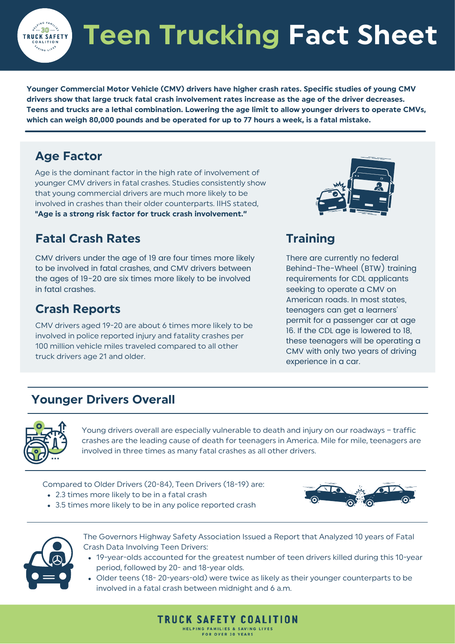**Teen Trucking Fact Sheet**

**Younger Commercial Motor Vehicle (CMV) drivers have higher crash rates. [Specific](https://pubmed.ncbi.nlm.nih.gov/1883468/) studies of young CMV drivers show that large truck fatal crash [involvement](https://pubmed.ncbi.nlm.nih.gov/1883468/) rates increase as the age of the driver decreases.** Teens and trucks are a lethal combination. Lowering the age limit to allow younger drivers to operate CMVs, which can weigh 80,000 pounds and be operated for up to 77 hours a week, is a fatal mistake.

#### **Age Factor**

ົ. 30∙ **TRUCK SAFETY** 

> Age is the dominant factor in the high rate of involvement of younger CMV drivers in fatal crashes. Studies [consistently](https://crsreports.congress.gov/product/pdf/R/R44394) show that young [commercial](https://crsreports.congress.gov/product/pdf/R/R44394) drivers are much more likely to be involved in crashes than their older [counterparts.](https://crsreports.congress.gov/product/pdf/R/R44394) IIHS stated, **"Age is a strong risk factor for truck crash [involvement."](https://www.iihs.org/media/34b0fc1c-5ef6-4627-bef6-4231f19a705a/cQmNeQ/RegulatoryComments/fmcsa_ds_erb_052101.pdf)**

#### **Fatal Crash Rates**

[CMV](https://pubmed.ncbi.nlm.nih.gov/1883468/) [drivers](https://pubmed.ncbi.nlm.nih.gov/1883468/) under the [age](https://pubmed.ncbi.nlm.nih.gov/1883468/) of 19 are four times more likely to be involved in fatal crashes, and CMV drivers [between](https://pubmed.ncbi.nlm.nih.gov/1883468/) the ages of 19-20 are six times more likely to be involved in fatal crashes.

#### **Crash Reports**

CMV [drivers](https://deepblue.lib.umich.edu/bitstream/handle/2027.42/862/79677.0001.001.pdf?sequence=2&isAllowed=y) aged 19-20 are about 6 times more likely to be involved in police reported injury and fatality crashes per 100 million vehicle miles traveled [compared](https://deepblue.lib.umich.edu/bitstream/handle/2027.42/862/79677.0001.001.pdf?sequence=2&isAllowed=y) to all other truck drivers age 21 and older[.](https://deepblue.lib.umich.edu/bitstream/handle/2027.42/862/79677.0001.001.pdf?sequence=2&isAllowed=y)



### **Training**

There are currently no federal Behind-The-Wheel (BTW) training requirements for CDL applicants seeking to operate a CMV on American roads. In most states, teenagers can get a learners' permit for a passenger car at age 16. If the CDL age is [lowered](https://www.iihs.org/topics/teenagers/graduated-licensing-laws-table) to 18, these [teenagers](https://www.iihs.org/topics/teenagers/graduated-licensing-laws-table) will be operating a CMV with only two years of [driving](https://www.iihs.org/topics/teenagers/graduated-licensing-laws-table) [experience](https://www.iihs.org/topics/teenagers/graduated-licensing-laws-table) in a car.

#### **Younger Drivers Overall**



Young drivers overall are especially vulnerable to death and injury on our roadways – [traffic](https://one.nhtsa.gov/Driving+Safety/Driver+Education) crashes are the leading cause of death for [teenagers](https://one.nhtsa.gov/Driving+Safety/Driver+Education) in America. Mile for mile, teenagers are [involved](https://one.nhtsa.gov/Driving+Safety/Driver+Education) in three times as many fatal crashes as all other drivers.

[Compare](https://www.iihs.org/topics/teenagers)d to Older Drivers [\(20-84\),](https://www.iihs.org/topics/teenagers) Teen Drivers (18-19) are:

- 2.3 times more likely to be in a fatal crash
- 3.5 times more likely to be in any police reported crash





The Governors Highway Safety [Association](https://www.ghsa.org/sites/default/files/2016-12/FINAL_TeenReport16.pdf) Issued a Report that Analyzed 10 years of Fatal Crash Data Involving Teen Drivers[:](https://www.ghsa.org/sites/default/files/2016-12/FINAL_TeenReport16.pdf)

- 19-year-olds accounted for the greatest number of teen drivers killed during this 10-year period, followed by 20- and 18-year olds.
- Older teens (18- 20-years-old) were twice as likely as their younger counterparts to be involved in a fatal crash between midnight and 6 a.m.

**TRUCK SAFETY COALITION** HELPING FAMILIES & SAVING **FOR OVER 30 YEARS**